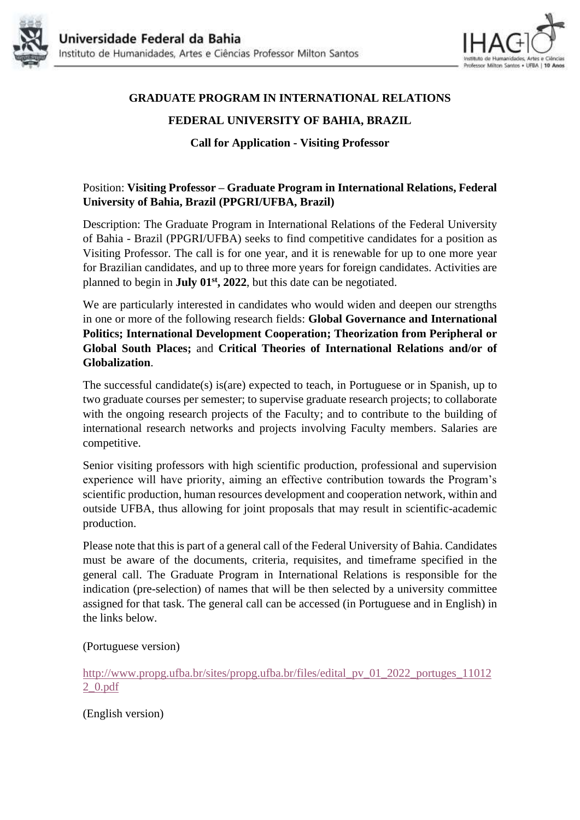



## **GRADUATE PROGRAM IN INTERNATIONAL RELATIONS**

## **FEDERAL UNIVERSITY OF BAHIA, BRAZIL**

**Call for Application - Visiting Professor**

## Position: **Visiting Professor – Graduate Program in International Relations, Federal University of Bahia, Brazil (PPGRI/UFBA, Brazil)**

Description: The Graduate Program in International Relations of the Federal University of Bahia - Brazil (PPGRI/UFBA) seeks to find competitive candidates for a position as Visiting Professor. The call is for one year, and it is renewable for up to one more year for Brazilian candidates, and up to three more years for foreign candidates. Activities are planned to begin in **July 01st, 2022**, but this date can be negotiated.

We are particularly interested in candidates who would widen and deepen our strengths in one or more of the following research fields: **Global Governance and International Politics; International Development Cooperation; Theorization from Peripheral or Global South Places;** and **Critical Theories of International Relations and/or of Globalization**.

The successful candidate(s) is(are) expected to teach, in Portuguese or in Spanish, up to two graduate courses per semester; to supervise graduate research projects; to collaborate with the ongoing research projects of the Faculty; and to contribute to the building of international research networks and projects involving Faculty members. Salaries are competitive.

Senior visiting professors with high scientific production, professional and supervision experience will have priority, aiming an effective contribution towards the Program's scientific production, human resources development and cooperation network, within and outside UFBA, thus allowing for joint proposals that may result in scientific-academic production.

Please note that this is part of a general call of the Federal University of Bahia. Candidates must be aware of the documents, criteria, requisites, and timeframe specified in the general call. The Graduate Program in International Relations is responsible for the indication (pre-selection) of names that will be then selected by a university committee assigned for that task. The general call can be accessed (in Portuguese and in English) in the links below.

(Portuguese version)

[http://www.propg.ufba.br/sites/propg.ufba.br/files/edital\\_pv\\_01\\_2022\\_portuges\\_11012](http://www.propg.ufba.br/sites/propg.ufba.br/files/edital_pv_01_2022_portuges_110122_0.pdf) [2\\_0.pdf](http://www.propg.ufba.br/sites/propg.ufba.br/files/edital_pv_01_2022_portuges_110122_0.pdf)

(English version)